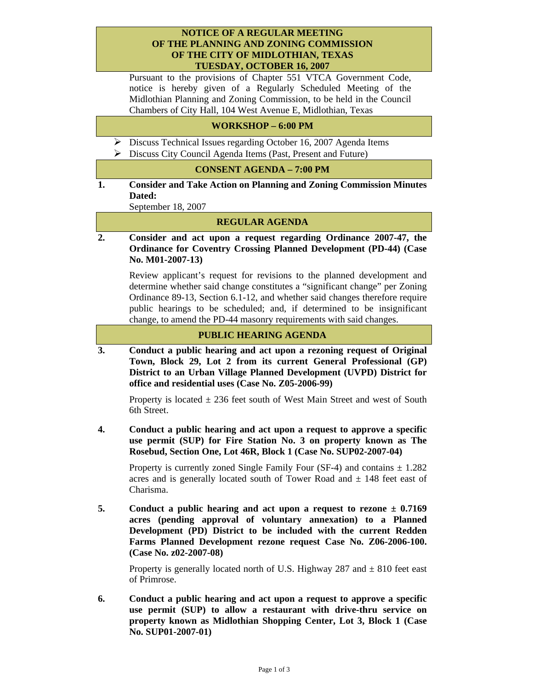### **NOTICE OF A REGULAR MEETING OF THE PLANNING AND ZONING COMMISSION OF THE CITY OF MIDLOTHIAN, TEXAS TUESDAY, OCTOBER 16, 2007**

Pursuant to the provisions of Chapter 551 VTCA Government Code, notice is hereby given of a Regularly Scheduled Meeting of the Midlothian Planning and Zoning Commission, to be held in the Council Chambers of City Hall, 104 West Avenue E, Midlothian, Texas

# **WORKSHOP – 6:00 PM**

- ¾ Discuss Technical Issues regarding October 16, 2007 Agenda Items
- ¾ Discuss City Council Agenda Items (Past, Present and Future)

#### **CONSENT AGENDA – 7:00 PM**

**1. Consider and Take Action on Planning and Zoning Commission Minutes Dated:** 

September 18, 2007

## **REGULAR AGENDA**

**2. Consider and act upon a request regarding Ordinance 2007-47, the Ordinance for Coventry Crossing Planned Development (PD-44) (Case No. M01-2007-13)** 

 Review applicant's request for revisions to the planned development and determine whether said change constitutes a "significant change" per Zoning Ordinance 89-13, Section 6.1-12, and whether said changes therefore require public hearings to be scheduled; and, if determined to be insignificant change, to amend the PD-44 masonry requirements with said changes.

#### **PUBLIC HEARING AGENDA**

**3. Conduct a public hearing and act upon a rezoning request of Original Town, Block 29, Lot 2 from its current General Professional (GP) District to an Urban Village Planned Development (UVPD) District for office and residential uses (Case No. Z05-2006-99)** 

Property is located  $\pm$  236 feet south of West Main Street and west of South 6th Street.

**4. Conduct a public hearing and act upon a request to approve a specific use permit (SUP) for Fire Station No. 3 on property known as The Rosebud, Section One, Lot 46R, Block 1 (Case No. SUP02-2007-04)** 

Property is currently zoned Single Family Four (SF-4) and contains  $\pm$  1.282 acres and is generally located south of Tower Road and  $\pm$  148 feet east of Charisma.

**5. Conduct a public hearing and act upon a request to rezone ± 0.7169 acres (pending approval of voluntary annexation) to a Planned Development (PD) District to be included with the current Redden Farms Planned Development rezone request Case No. Z06-2006-100. (Case No. z02-2007-08)** 

Property is generally located north of U.S. Highway 287 and  $\pm$  810 feet east of Primrose.

**6. Conduct a public hearing and act upon a request to approve a specific use permit (SUP) to allow a restaurant with drive-thru service on property known as Midlothian Shopping Center, Lot 3, Block 1 (Case No. SUP01-2007-01)**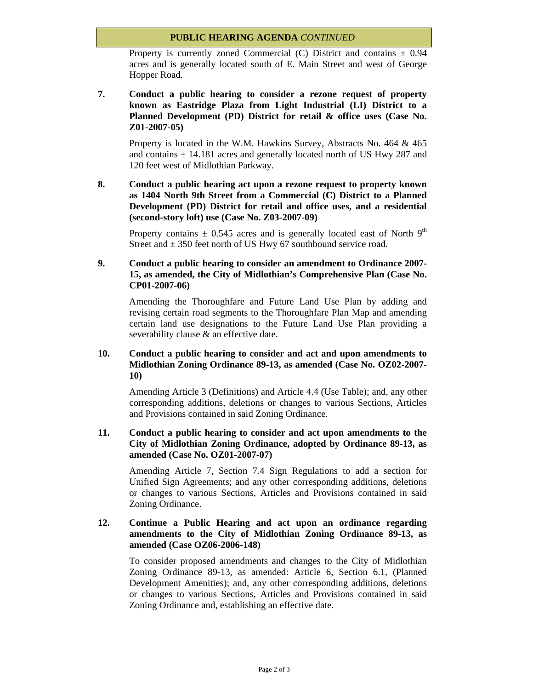# **PUBLIC HEARING AGENDA** *CONTINUED*

Property is currently zoned Commercial (C) District and contains  $\pm 0.94$ acres and is generally located south of E. Main Street and west of George Hopper Road.

**7. Conduct a public hearing to consider a rezone request of property known as Eastridge Plaza from Light Industrial (LI) District to a Planned Development (PD) District for retail & office uses (Case No. Z01-2007-05)** 

 Property is located in the W.M. Hawkins Survey, Abstracts No. 464 & 465 and contains  $\pm$  14.181 acres and generally located north of US Hwy 287 and 120 feet west of Midlothian Parkway.

**8. Conduct a public hearing act upon a rezone request to property known as 1404 North 9th Street from a Commercial (C) District to a Planned Development (PD) District for retail and office uses, and a residential (second-story loft) use (Case No. Z03-2007-09)** 

Property contains  $\pm$  0.545 acres and is generally located east of North 9<sup>th</sup> Street and  $\pm$  350 feet north of US Hwy 67 southbound service road.

**9. Conduct a public hearing to consider an amendment to Ordinance 2007- 15, as amended, the City of Midlothian's Comprehensive Plan (Case No. CP01-2007-06)** 

 Amending the Thoroughfare and Future Land Use Plan by adding and revising certain road segments to the Thoroughfare Plan Map and amending certain land use designations to the Future Land Use Plan providing a severability clause  $\&$  an effective date.

## **10. Conduct a public hearing to consider and act and upon amendments to Midlothian Zoning Ordinance 89-13, as amended (Case No. OZ02-2007- 10)**

 Amending Article 3 (Definitions) and Article 4.4 (Use Table); and, any other corresponding additions, deletions or changes to various Sections, Articles and Provisions contained in said Zoning Ordinance.

**11. Conduct a public hearing to consider and act upon amendments to the City of Midlothian Zoning Ordinance, adopted by Ordinance 89-13, as amended (Case No. OZ01-2007-07)** 

 Amending Article 7, Section 7.4 Sign Regulations to add a section for Unified Sign Agreements; and any other corresponding additions, deletions or changes to various Sections, Articles and Provisions contained in said Zoning Ordinance.

# **12. Continue a Public Hearing and act upon an ordinance regarding amendments to the City of Midlothian Zoning Ordinance 89-13, as amended (Case OZ06-2006-148)**

 To consider proposed amendments and changes to the City of Midlothian Zoning Ordinance 89-13, as amended: Article 6, Section 6.1, (Planned Development Amenities); and, any other corresponding additions, deletions or changes to various Sections, Articles and Provisions contained in said Zoning Ordinance and, establishing an effective date.